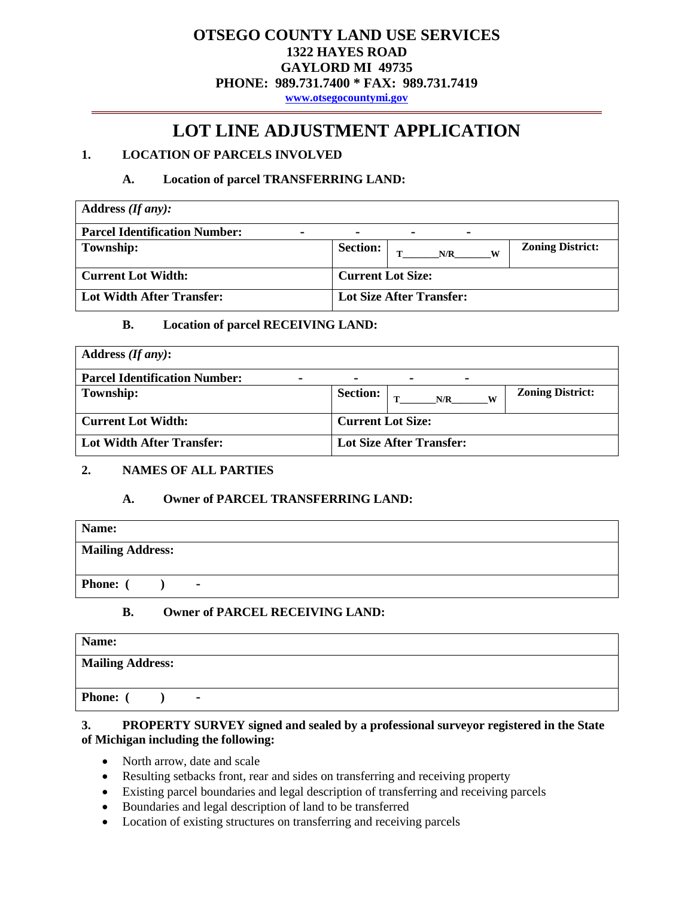# **OTSEGO COUNTY LAND USE SERVICES 1322 HAYES ROAD GAYLORD MI 49735 PHONE: 989.731.7400 \* FAX: 989.731.7419**

**[www.otsegocountymi.gov](http://www.otsegocountymi.gov/)**

# **LOT LINE ADJUSTMENT APPLICATION**

# **1. LOCATION OF PARCELS INVOLVED**

### **A. Location of parcel TRANSFERRING LAND:**

| Address $(If any):$                  |                                                        |
|--------------------------------------|--------------------------------------------------------|
| <b>Parcel Identification Number:</b> | $\blacksquare$<br>$\blacksquare$<br>$\blacksquare$     |
| <b>Township:</b>                     | <b>Zoning District:</b><br><b>Section:</b><br>N/R<br>W |
| <b>Current Lot Width:</b>            | <b>Current Lot Size:</b>                               |
| <b>Lot Width After Transfer:</b>     | Lot Size After Transfer:                               |

### **B. Location of parcel RECEIVING LAND:**

| Address $(If any)$ :                                   |                                                              |
|--------------------------------------------------------|--------------------------------------------------------------|
| <b>Parcel Identification Number:</b><br>$\blacksquare$ | $\blacksquare$<br>$\blacksquare$<br>$\overline{\phantom{0}}$ |
| <b>Township:</b>                                       | <b>Zoning District:</b><br><b>Section:</b><br>N/R<br>W       |
| <b>Current Lot Width:</b>                              | <b>Current Lot Size:</b>                                     |
| <b>Lot Width After Transfer:</b>                       | Lot Size After Transfer:                                     |

#### **2. NAMES OF ALL PARTIES**

# **A. Owner of PARCEL TRANSFERRING LAND:**

| <b>Mailing Address:</b>    |  |
|----------------------------|--|
|                            |  |
| Phone: (<br>$\blacksquare$ |  |

# **B. Owner of PARCEL RECEIVING LAND:**

| Name:                   |                |
|-------------------------|----------------|
| <b>Mailing Address:</b> |                |
| Phone:                  | $\blacksquare$ |

### **3. PROPERTY SURVEY signed and sealed by a professional surveyor registered in the State of Michigan including the following:**

- North arrow, date and scale
- Resulting setbacks front, rear and sides on transferring and receiving property
- Existing parcel boundaries and legal description of transferring and receiving parcels
- Boundaries and legal description of land to be transferred
- Location of existing structures on transferring and receiving parcels